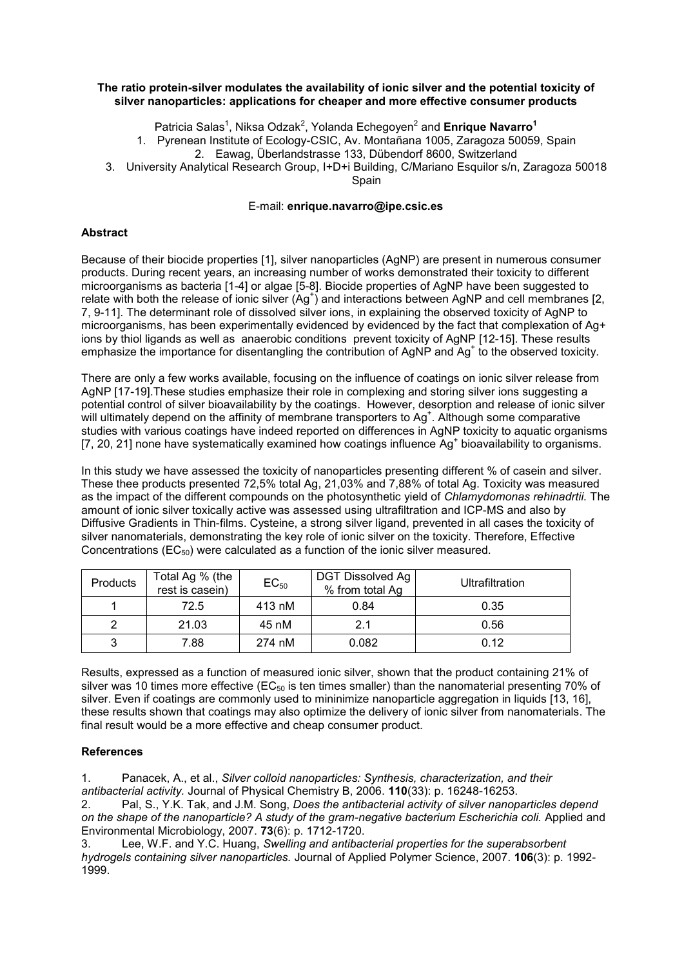## **The ratio protein-silver modulates the availability of ionic silver and the potential toxicity of silver nanoparticles: applications for cheaper and more effective consumer products**

Patricia Salas<sup>1</sup>, Niksa Odzak<sup>2</sup>, Yolanda Echegoyen<sup>2</sup> and Enrique Navarro<sup>1</sup>

1. Pyrenean Institute of Ecology-CSIC, Av. Montañana 1005, Zaragoza 50059, Spain

2. Eawag, Überlandstrasse 133, Dübendorf 8600, Switzerland

3. University Analytical Research Group, I+D+i Building, C/Mariano Esquilor s/n, Zaragoza 50018

**Spain** 

## E-mail: **enrique.navarro@ipe.csic.es**

## **Abstract**

Because of their biocide properties [\[1\]](#page-0-0), silver nanoparticles (AgNP) are present in numerous consumer products. During recent years, an increasing number of works demonstrated their toxicity to different microorganisms as bacteria [\[1-4\]](#page-0-0) or algae [\[5-8\]](#page-1-0). Biocide properties of AgNP have been suggested to relate with both the release of ionic silver  $(Ag^+)$  and interactions between AgNP and cell membranes [\[2,](#page-0-1) [7,](#page-1-1) [9-11\]](#page-1-2). The determinant role of dissolved silver ions, in explaining the observed toxicity of AgNP to microorganisms, has been experimentally evidenced by evidenced by the fact that complexation of Ag+ ions by thiol ligands as well as anaerobic conditions prevent toxicity of AgNP [\[12-15\]](#page-1-3). These results emphasize the importance for disentangling the contribution of AgNP and Ag<sup>+</sup> to the observed toxicity.

There are only a few works available, focusing on the influence of coatings on ionic silver release from AgNP [17-19].These studies emphasize their role in complexing and storing silver ions suggesting a potential control of silver bioavailability by the coatings. However, desorption and release of ionic silver will ultimately depend on the affinity of membrane transporters to Ag<sup>+</sup>. Although some comparative studies with various coatings have indeed reported on differences in AgNP toxicity to aquatic organisms [\[7,](#page-1-1) 20, 21] none have systematically examined how coatings influence Ag<sup>+</sup> bioavailability to organisms.

In this study we have assessed the toxicity of nanoparticles presenting different % of casein and silver. These thee products presented 72,5% total Ag, 21,03% and 7,88% of total Ag. Toxicity was measured as the impact of the different compounds on the photosynthetic yield of *Chlamydomonas rehinadrtii.* The amount of ionic silver toxically active was assessed using ultrafiltration and ICP-MS and also by Diffusive Gradients in Thin-films. Cysteine, a strong silver ligand, prevented in all cases the toxicity of silver nanomaterials, demonstrating the key role of ionic silver on the toxicity. Therefore, Effective Concentrations ( $EC_{50}$ ) were calculated as a function of the ionic silver measured.

| <b>Products</b> | Total Ag % (the<br>rest is casein) | $EC_{50}$ | DGT Dissolved Ag<br>% from total Ag | Ultrafiltration |
|-----------------|------------------------------------|-----------|-------------------------------------|-----------------|
|                 | 72.5                               | 413 nM    | 0.84                                | 0.35            |
|                 | 21.03                              | 45 nM     | 2.1                                 | 0.56            |
|                 | 7.88                               | 274 nM    | 0.082                               | 0.12            |

Results, expressed as a function of measured ionic silver, shown that the product containing 21% of silver was 10 times more effective ( $EC_{50}$  is ten times smaller) than the nanomaterial presenting 70% of silver. Even if coatings are commonly used to mininimize nanoparticle aggregation in liquids [\[13,](#page-1-4) [16\]](#page-1-5). these results shown that coatings may also optimize the delivery of ionic silver from nanomaterials. The final result would be a more effective and cheap consumer product.

## **References**

<span id="page-0-0"></span>1. Panacek, A., et al., *Silver colloid nanoparticles: Synthesis, characterization, and their antibacterial activity.* Journal of Physical Chemistry B, 2006. **110**(33): p. 16248-16253.

<span id="page-0-1"></span>2. Pal, S., Y.K. Tak, and J.M. Song, *Does the antibacterial activity of silver nanoparticles depend on the shape of the nanoparticle? A study of the gram-negative bacterium Escherichia coli.* Applied and Environmental Microbiology, 2007. **73**(6): p. 1712-1720.

3. Lee, W.F. and Y.C. Huang, *Swelling and antibacterial properties for the superabsorbent hydrogels containing silver nanoparticles.* Journal of Applied Polymer Science, 2007. **106**(3): p. 1992- 1999.